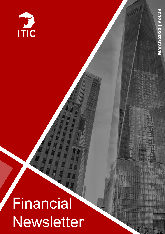

# Financial Newsletter

*ANTI*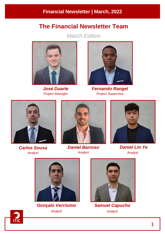# **The Financial Newsletter Team**

*March Edition*



*José Duarte Project Manager*



*Fernando Rangel Project Supervisor*



*Carlos Sousa Analyst*



*Daniel Barroso Analyst*



*Daniel Lin Ye Analyst*



*Gonçalo Verrísimo Analyst*



*Samuel Capucho Analyst*

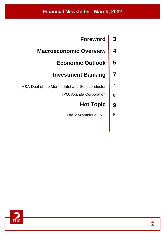# **Financial Newsletter | March, 2022**

**Foreword 3**

**7**

7

9

- **Macroeconomic Overview 4**
	- **Economic Outlook 5**

# **Investment Banking**

- M&A Deal of the Month: Intel and Semiconductor
	- IPO: Akanda Corporation 8

#### **Hot Topic 9**

The Mozambique LNG

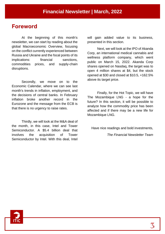# **Foreword**

At the beginning of this month's newsletter, we can start by reading about the global Macroeconomic Overview, focusing on the conflict currently experienced between Russia and Ukraine and the focal points of its implications: financial sanctions, commodities prices, and supply-chain disruptions.

Secondly, we move on to the Economic Calendar, where we can see last month's trends in inflation, employment, and the decisions of central banks. In February inflation broke another record in the Eurozone and the message from the ECB is that there is no urgency to raise rates.

Thirdly, we will look at the M&A deal of the month, in this case, Intel and Tower Semiconductor. A \$5.4 billion deal that involves the acquisition of Tower Semiconductor by Intel. With this deal, Intel will gain added value to its business, presented in this section.

Next, we will look at the IPO of Akanda Corp, an international medical cannabis and wellness platform company, which went public on March 15, 2022. Akanda Corp shares opened on Nasdaq, the target was to open 4 million shares at \$4, but the stock opened at \$30 and closed at \$10.5, +162.5% above its target price.

Finally, for the Hot Topic, we will have The Mozambique LNG - a hope for the future? In this section, it will be possible to analyze how the commodity price has been affected and if there may be a new life for Mozambique LNG.

Have nice readings and bold investments,

*The Financial Newsletter Team*

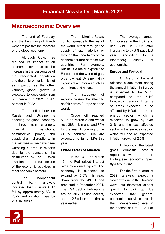# **Macroeconomic Overview**

The end of February and the beginning of March were not positive for investors or the global economy.

Although Covid has reduced its impact at an economic level due to the increase in the percentage of the vaccinated population and the omicron variant is not as impactful as the other variants, global growth is expected to decelerate from 5.5 percent in 2021 to 4.1 percent in 2022.

The conflict between Russia and Ukraine is affecting the global economy in three main channels: financial sanctions. commodities prices, and supply-chain disruptions. In the last weeks, we have been watching a drop in exports due to the sanctions, the destruction by the Russian invasion, and the suspension of the economic activities in most economic sectors.

The independent central bank analysts indicated that Russia's GDP fell by approximately 8% in 2022 and inflation rose by 20% in Russia.

The Ukraine-Russia conflict spreads to the rest of the world, either through the supply of raw materials or through the uncertainty of the economic future of these two countries. For example, Russia is a major exporter to Europe and the world of gas, oil, and wheat. Ukraine mainly exports raw materials such as corn, iron, and wheat.

The stoppage of exports causes the effect to be felt across Europe and the world.

Crude oil reached \$123 on March 8 and wheat rose 28% this month and 77% for the year. According to the USDA, fertilizer Bills are expected to jump 12% this year.

#### **United States of America**

In the USA, on March 16, the Fed raised interest rates by a quarter-point. The economy is expected to expand by 2.8% this year, down from the 4% it had predicted in December 2021. The USA debt in February is around 30.2 Trillion dollars, around 2.3 trillion more than a year earlier.

The average annual CPI forecast in the USA is to rise 5.1% in 2022 after increasing to a 4.7% pace last year, according to a Bloomberg survey of economists.

#### **Europe and Portugal**

On March 2, Eurostat released a document stating that annual inflation in Europe is expected to be 5.8%, compared to the 5.1% forecast in January. In terms of areas expected to be affected by inflation, it is the energy sector, which is expected to grow by over 31%, and the least affected sector is the services sector, which will see an expected inflation growth of 2.5%.

In Portugal, the latest gross domestic product report showed that the Portuguese economy grew by 4.9% in 2021.

For the first quarter of 2022, analysts expect a slowdown due to the Omicron wave, but thereafter expect growth to pick up. It's expected that general economic activities reach their pre-pandemic level in the second half of 2022. For

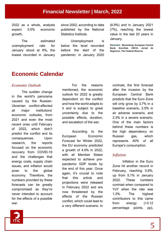2022 as a whole, analysts expect 5.5% economic growth.

The estimated unemployment rate for January stood at 6%, the lowest recorded in January since 2002, according to data published by the National Statistics Institute.

Unemployment is below the level recorded before the start of the pandemic: in January 2020

(6.9%) and in January 2021 (7%), reaching the lowest value in the last 20 years in January.

*Sources: Bloomberg, European Central Bank, EuroStat, OECD, Jornal de Negócios, The Federal Reserve*

# **Economic Calendar**

#### *Economic Outlook*

The sudden change in the world's panorama caused by the Russian-Ukrainian conflict-affected all major institutions' economic outlooks, from 2021 and even the most recent ones until February of 2022, which didn't predict the conflict and its consequences. Upon research, the reports focused on the economic recovery from COVID-19 and the challenges that energy costs, supply chain issues, and inflation would pose to the global economy. Therefore, the numbers provided by these forecasts can be greatly compromised as they're never intended to account for the effects of a possible war.

For the reasons mentioned, the economic outlook for 2022 is greatly dependent on the conflict and how the world adapts to it and is subject to great uncertainty due to the possible effects, duration, and escalation of the war.

According to the European Economic Forecast for Winter 2022, the EU economy predicted a growth of 4.0% in 2022, with all Member States expected to achieve prepandemic GDP levels by the end of this year. Once again, it's crucial to note that this article and projections were released in February 2022 and are now threatened by the effects of the Russian conflict, which could lead to a very different scenario. In

contrast, the first forecast after the invasion by the European Central Bank predicts that the Euro Zone will only grow by 3.7% in a baseline scenario, 2.5% in an adverse scenario, and 2.3% in a severe scenario. One of the main factors behind these numbers is the high dependency on Russian gas, which represents 40% of all Europe's consumption.

#### *Inflation*

Inflation in the Euro Zone hit another record in February, reaching 5.9%, up from 5.1% in January 2022. These numbers contrast when compared to YoY when the rate was 1.3%. The highest contributors to this came from energy (+3.12 percentage points, pp),

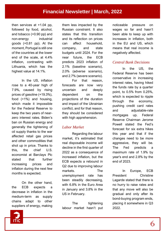then services at +1.04 pp, followed by food, alcohol, and tobacco (+0.90 pp) and non-energy industrial goods (+0.81 pp). At the moment, Portugal is still one of the countries at the lower end of the scale, at 4.4% inflation, contrasting with Lithuania, which has the highest value at 14.1%.

In the US, inflation rose to a 40-year high of 7.9%, caused by rising prices of gasoline (+19.3%), food (+1%) and housing, which made it impossible for the Federal Reserve to keep the two years of nearzero interest rates. Biden's ban on Russian energy and generally the tightening of oil supply thanks to the war affected retail gas prices and other commodities that shot up in price. Thanks to this, the chief U.S. economist at Barclays Plc stated that further increasing prices and inflation during the next few months is expected.

On the other hand, the ECB expects a decrease in inflation in the medium-term as supply chains adapt to other suppliers of energy, making

them less impacted by the Russian constraint. It also states that this transition and its reflection on prices can affect household, company, and state budgets until 2024. For the near future, the ECB predicts 2023 inflation of 2.1% (baseline scenario), 2.0% (adverse scenario), and 2.7% (severe scenario).

For that reason, forecasts are now very uncertain and deeply dependent on the projections of the duration and impact of the Ukrainian conflict, and for that reason, they should be considered with high apprehension.

## *Labor Market*

Regarding the labour market, it's estimated that real disposable income will decline in the first quarter of 2022 as a consequence of increased inflation, but the ECB expects a rebound in Q2 due to improving labour markets. The unemployment rate has been steadily decreasing, with 6.8% in the Euro Area in January and 3.8% in the US in February.

The tightening labour market hasn't put

noticeable pressure on wages so far and hasn't been able to keep up with increases in inflation, both in the EU and US, which means that real income is negatively affected.

## *Central Bank Decisions*

In the US, the Federal Reserve has been conservative in increasing interest rates, having hiked the funds rate by a quarter point, to 0.5% from 0.25%, which is expected to ripple through the economy, pushing credit card rates and adjustable-rate mortgages up. Federal Reserve Chairman Jerome Powell stated the Fed's forecast for six extra hikes this year and that if the changes need to be more aggressive, they will be. The Fed predicts a maximum rate of 1.9% by year's end and 2.8% by the end of 2023.

In Europe, ECB President Christine Lagarde stated that there is no hurry to raise rates and that any move will also be gradual and only after its bond-buying program ends, placing it somewhere in Q3 2022.

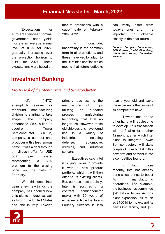Expectations for euro area ten-year nominal government bond yields indicate an average annual level of 0.8% for 2022, gradually increasing over the projection horizon to 1.1% for 2024. These expectations were based on market predictions with a cut-off date of February 28th, 2022.

To conclude, uncertainty is the common term in all predictions, and these have yet to adapt to the Ukrainian conflict, which means that future outlooks

can vastly differ from today's ones and it is important to observe closely in the near future.

*Sources: European Commission, ECB, Eurostat, CNBC, Bloomberg, OECD, USA Today, The Federal Reserve*

# **Investment Banking**

#### *M&A Deal of the Month: Intel and Semiconductor*

Intel's (INTC) attempt to resurrect its moribund manufacturing division is starting to take shape. The company announced \$5.4 billion to acquire Tower Semiconductor (TSEM) company, a contract chip producer with a less famous name. It was a deal through an all-cash offer for USD 53.0 per share, representing a 60% premium to the closing price on the 14th of February.

With this deal, Intel gains a few new things: the company has opened new chip plants in Israel, as well as two in the United States and one in Italy. Tower's

primary business is the manufacture of chips utilizing an outdated process manufacturing technology that Intel no longer use. However, these old chip designs have found use in a variety of industries, including defense, automotive, wireless, and industrial sensors.

Executives said Intel is buying Tower to provide it with a new product portfolio, which it will then offer to its existing clients. But, perhaps most crucially, Intel is purchasing a contract semiconductor maker with 30 years of experience. Note that Intel's Foundry Services is less

than a year old and lacks the experience that some of its competitors have.

Tower's idea, on the other hand, will require time to develop. This transaction will not finalize for another 12 months, after which Intel plans to integrate Tower Semiconductor. It will take a couple of times to dial in this new firm and convert it into a competitive foundry.

In fact, more recently, Intel has already done a few things to boost its manufacturing operations. For example, the business has committed \$20 billion to an Arizona plant expansion, as much as \$100 billion to expand its new Ohio facility, and \$95

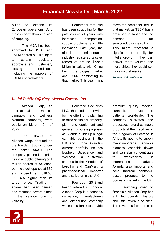billion to expand its European operations. And the company shows no sign of stopping.

This M&A has been approved by INTC and TSEM boards but is subject to certain regulatory approvals and customary closing conditions, including the approval of TSEM's shareholders.

Remember that Intel has been struggling for the past couple of years with increased competition, supply problems, and little innovation. Last year, the global semiconductor industry registered a sales record of around \$555.9 billion in sales, with China being the biggest market and TSMC dominating in that market. This deal might

move the needle for Intel in that market, as TSEM has a presence in Japan and the demand for semiconductors is still high. This might represent a significant opportunity for Intel's growth if they can deliver more volume and more chips, they could sell more on that market.

*Sources: Yahoo Finance*

## *Initial Public Offering: Akanda Corporation.*

Akanda Corp, an international medical cannabis and wellness platform company, went public on March 15th of 2022.

The shares of Akanda Corp. debuted on the Nasdaq, trading under the ticket AKAN. The company planned to price its initial public offering of 4 million shares at \$4 each, but the stock opened at \$30 and closed at \$10.50, +162.5% higher than its target price. Trading in shares had been paused and resumed several times in the session due to volatility.

Boustead Securities LLC, the lead underwriter for the offering, is planning to raise capital for property, plant and equipment and general corporate purposes as Akanda builds up a legal cannabis business in the U.K. and Europe. Akanda's current portfolio includes Bophelo Bioscience and Wellness, a cultivation campus in the Kingdom of Lesotho and CanMart, a pharmaceutical importer and distributor in the U.K.

Founded in 2018 and headquartered in London, Akanda Corp is a cannabis cultivation, manufacturing and distribution company whose mission is to provide

premium quality medical cannabis products to patients worldwide. The company cultivates and processes natural cannabis products at their facilities in the Kingdom of Lesotho in Africa. Its goal is to supply medicinal-grade cannabis biomass, cannabis flower and cannabis concentrates to wholesalers in international markets. Akanda also imports and sells medical cannabisbased products to the domestic market in the UK.

Switching over to financials, Akanda Corp has a limited operating history and little revenue to date. The revenues from the sale

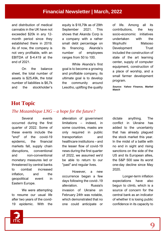# **Financial Newsletter | March, 2022**

and distribution of medical cannabis in the UK have not exceeded \$20k in any 12 month period since they established there in 2019. As of now, the company is not very profitable, with an EBITDA of \$-4.419 at the end of 2021.

On the balance sheet, the total number of assets is \$25,49k, the total number of liabilities is \$6,7k and the stockholder's equity is \$18,79k as of 29th September 2021. This shows that Akanda Corp is a company with a rather small debt percentage on its financing. Akanda's number of employees ranges from 50 to 100.

While Akanda's first goal is to become a growing and profitable company, its ultimate goal is to develop the community around Lesotho, uplifting the quality of life. Among all its contributions, the key socio-economic initiatives undertaken with the Mophuthi Matsoso Development Trust included the construction of state of the art learning center, supply of computer equipment, construction of a place of worship, and a small farmer development program.

*Source: Yahoo Finance, Market Watch*

# **Hot Topic**

#### *The Mozambique LNG – a hope for the future?*

Several events occurred during the first quarter of 2022. Some of these events include the "end" of the covid-19 epidemic, the financial markets fall, supply chain disruptions, conventional and non-conventional monetary measures led or threatened by central banks to combat increased inflation, and the geopolitical event in Eastern Europe.

We were attempting to resume our usual life after two years of the covid-19 epidemic. With the alleviation of government limitations – indeed, in some countries, masks are only required in public transportation and healthcare institutions – and the lesser flow of covid-19 news during the first quarter of 2022, we assumed we'd be able to return to our "past" and regular lives.

However, a new occurrence began a few days following the covid-.19 alleviation. Russia's invasion of Ukraine on February 24th was notable, which demonstrated that no one could anticipate or

dictate anything. The conflict in Ukraine has added to the uncertainty that has already plagued the stock market this year. In the midst of a battle with no end in sight and rising sanctions on the side of the US and its European allies, the S&P 500 saw its worst one-day decline since May 2020.

Longer-term inflation expectations have also begun to climb, which is a source of concern for the central bank as an indicator of whether it is losing public confidence in its capacity to

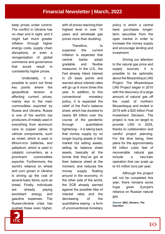keep prices under control. The conflict in Ukraine has no clear end in sight, and it might fuel much greater inflation through higher energy costs, supply chain disruptions, or even a reorganization of global commerce and governance that would result in consistently higher prices.

Undeniably, it is possible to point out three key points where the geopolitical tension is affecting current prices, mainly due to the main commodities exported by Russia and Ukraine. Russia is one of the world's top producers of metals used in everything from aluminum cans to copper cables to vehicle components, such as nickel, which is used in lithium-iron batteries, and palladium, which is used in catalytic converters, as a prominent commodities exporter. Furthermore, the world's reliance on wheat and corn grown in Ukraine is driving up the cost of several basic items, such as bread. Finally, individuals are already paying exorbitant energy and gasoline expenses. The Russia-Ukraine crisis has pushed these even higher,

with oil prices reaching their highest level in over 14 years and wholesale gas prices more than doubling.

Therefore. to suppress the current inflation is expected that central banks adopt gradable and flexible measures. In the U.S., the Fed already hiked interest in 25 basis points and warned about interest rates will go up 6 more times this year. In addition, to this conventional monetary policy, it is expected the relief of the Fed's balance sheet, which has doubled to nearly \$9 trillion over the course of the pandemic through quantitative tightening - it is taking back that money supply by no longer buying assets in that market but selling assets, selling its balance sheet assets, basically all the bonds that they've got at their balance sheet at the moment, and reduces the money supply floating around in the economy. In the other side of the world, the ECB already warned against the possible hike of interest rates and the decreasing of the quantitative easing - a form of unconventional monetary

policy in which a central bank purchases longerterm securities from the open market in order to increase the money supply and encourage lending and investment.

Driving our attention to the natural gas price and supply sources, it is possible to be optimistic about the Mozambique LNG Project. The Mozambique LNG Project began in 2010 with the discovery of a large amount of natural gas off the coast of northern Mozambique and ended in 2019 with a \$20 billion Final Investment Decision. The project is now on target to provide LNG in 2024, thanks to collaboration and careful project planning. For the time being, their plans for the approximately 65 trillion cubic feet of recoverable natural gas include a two-train operation that can scale up to 43 million tons per year.

Although the project will not be completed this year, there remains some hope given Europe's reliance on Russian natural gas.

*Source: BBC, Reuters, The Gaurdian*